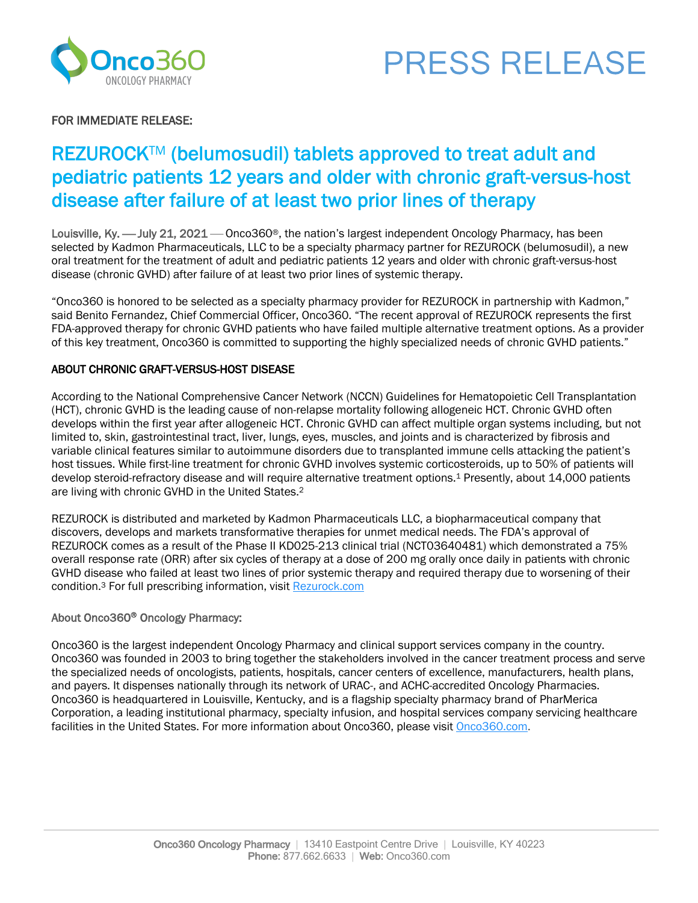



### FOR IMMEDIATE RELEASE:

## REZUROCK™ (belumosudil) tablets approved to treat adult and pediatric patients 12 years and older with chronic graft-versus-host disease after failure of at least two prior lines of therapy

Louisville, Ky. — July 21, 2021 — Onco360®, the nation's largest independent Oncology Pharmacy, has been selected by Kadmon Pharmaceuticals, LLC to be a specialty pharmacy partner for REZUROCK (belumosudil), a new oral treatment for the treatment of adult and pediatric patients 12 years and older with chronic graft-versus-host disease (chronic GVHD) after failure of at least two prior lines of systemic therapy.

"Onco360 is honored to be selected as a specialty pharmacy provider for REZUROCK in partnership with Kadmon," said Benito Fernandez, Chief Commercial Officer, Onco360. "The recent approval of REZUROCK represents the first FDA-approved therapy for chronic GVHD patients who have failed multiple alternative treatment options. As a provider of this key treatment, Onco360 is committed to supporting the highly specialized needs of chronic GVHD patients."

#### ABOUT CHRONIC GRAFT-VERSUS-HOST DISEASE

According to the National Comprehensive Cancer Network (NCCN) Guidelines for Hematopoietic Cell Transplantation (HCT), chronic GVHD is the leading cause of non-relapse mortality following allogeneic HCT. Chronic GVHD often develops within the first year after allogeneic HCT. Chronic GVHD can affect multiple organ systems including, but not limited to, skin, gastrointestinal tract, liver, lungs, eyes, muscles, and joints and is characterized by fibrosis and variable clinical features similar to autoimmune disorders due to transplanted immune cells attacking the patient's host tissues. While first-line treatment for chronic GVHD involves systemic corticosteroids, up to 50% of patients will develop steroid-refractory disease and will require alternative treatment options.1 Presently, about 14,000 patients are living with chronic GVHD in the United States.2

REZUROCK is distributed and marketed by Kadmon Pharmaceuticals LLC, a biopharmaceutical company that discovers, develops and markets transformative therapies for unmet medical needs. The FDA's approval of REZUROCK comes as a result of the Phase II KD025-213 clinical trial (NCT03640481) which demonstrated a 75% overall response rate (ORR) after six cycles of therapy at a dose of 200 mg orally once daily in patients with chronic GVHD disease who failed at least two lines of prior systemic therapy and required therapy due to worsening of their condition.<sup>3</sup> For full prescribing information, visit Rezurock.com

#### About Onco360<sup>®</sup> Oncology Pharmacy:

Onco360 is the largest independent Oncology Pharmacy and clinical support services company in the country. Onco360 was founded in 2003 to bring together the stakeholders involved in the cancer treatment process and serve the specialized needs of oncologists, patients, hospitals, cancer centers of excellence, manufacturers, health plans, and payers. It dispenses nationally through its network of URAC-, and ACHC-accredited Oncology Pharmacies. Onco360 is headquartered in Louisville, Kentucky, and is a flagship specialty pharmacy brand of PharMerica Corporation, a leading institutional pharmacy, specialty infusion, and hospital services company servicing healthcare facilities in the United States. For more information about Onco360, please visit Onco360.com.